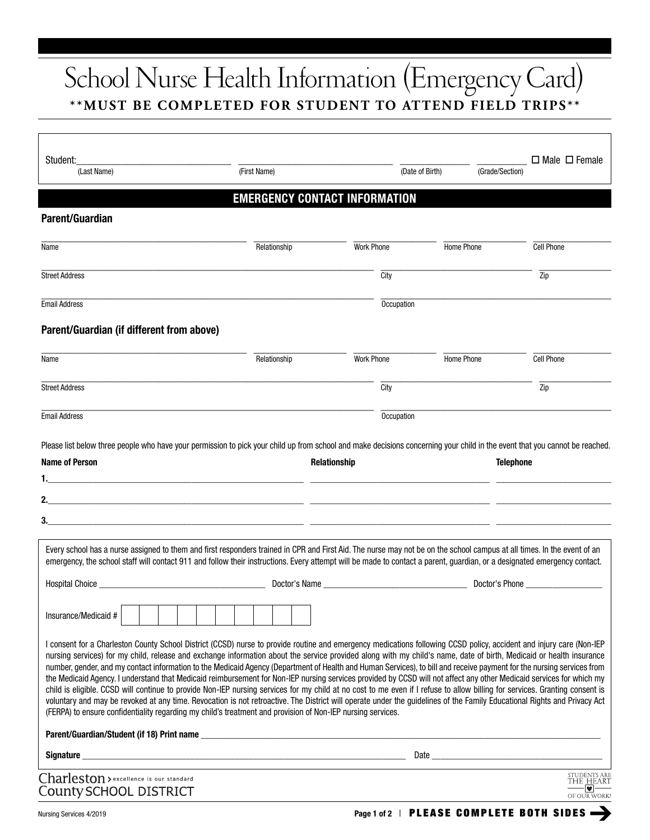## School Nurse Health Information (Emergency Card) **\*\*MUST BE COMPLETED FOR STUDENT TO ATTEND FIELD TRIPS\*\***

| Student:<br>(Last Name)                                                                                                                                                                                                                                                                                                                                                                                                                                                                                                                                                                                                                                                                                                                                                                                                                                                                                                                                                                                                                                                                                                                                                                         | (First Name)                         |                                                                                                                                                                                                                                | (Date of Birth)<br>(Grade/Section) | $\Box$ Male $\Box$ Female                                                                                                                                                                                                      |
|-------------------------------------------------------------------------------------------------------------------------------------------------------------------------------------------------------------------------------------------------------------------------------------------------------------------------------------------------------------------------------------------------------------------------------------------------------------------------------------------------------------------------------------------------------------------------------------------------------------------------------------------------------------------------------------------------------------------------------------------------------------------------------------------------------------------------------------------------------------------------------------------------------------------------------------------------------------------------------------------------------------------------------------------------------------------------------------------------------------------------------------------------------------------------------------------------|--------------------------------------|--------------------------------------------------------------------------------------------------------------------------------------------------------------------------------------------------------------------------------|------------------------------------|--------------------------------------------------------------------------------------------------------------------------------------------------------------------------------------------------------------------------------|
|                                                                                                                                                                                                                                                                                                                                                                                                                                                                                                                                                                                                                                                                                                                                                                                                                                                                                                                                                                                                                                                                                                                                                                                                 | <b>EMERGENCY CONTACT INFORMATION</b> |                                                                                                                                                                                                                                |                                    |                                                                                                                                                                                                                                |
| <b>Parent/Guardian</b>                                                                                                                                                                                                                                                                                                                                                                                                                                                                                                                                                                                                                                                                                                                                                                                                                                                                                                                                                                                                                                                                                                                                                                          |                                      |                                                                                                                                                                                                                                |                                    |                                                                                                                                                                                                                                |
| Name                                                                                                                                                                                                                                                                                                                                                                                                                                                                                                                                                                                                                                                                                                                                                                                                                                                                                                                                                                                                                                                                                                                                                                                            | Relationship                         | <b>Work Phone</b>                                                                                                                                                                                                              | Home Phone                         | <b>Cell Phone</b>                                                                                                                                                                                                              |
| <b>Street Address</b>                                                                                                                                                                                                                                                                                                                                                                                                                                                                                                                                                                                                                                                                                                                                                                                                                                                                                                                                                                                                                                                                                                                                                                           |                                      | City                                                                                                                                                                                                                           |                                    | $\overline{Zip}$                                                                                                                                                                                                               |
| <b>Email Address</b>                                                                                                                                                                                                                                                                                                                                                                                                                                                                                                                                                                                                                                                                                                                                                                                                                                                                                                                                                                                                                                                                                                                                                                            |                                      | Occupation                                                                                                                                                                                                                     |                                    |                                                                                                                                                                                                                                |
| Parent/Guardian (if different from above)                                                                                                                                                                                                                                                                                                                                                                                                                                                                                                                                                                                                                                                                                                                                                                                                                                                                                                                                                                                                                                                                                                                                                       |                                      |                                                                                                                                                                                                                                |                                    |                                                                                                                                                                                                                                |
| Name                                                                                                                                                                                                                                                                                                                                                                                                                                                                                                                                                                                                                                                                                                                                                                                                                                                                                                                                                                                                                                                                                                                                                                                            | Relationship                         | <b>Work Phone</b>                                                                                                                                                                                                              | Home Phone                         | <b>Cell Phone</b>                                                                                                                                                                                                              |
| <b>Street Address</b>                                                                                                                                                                                                                                                                                                                                                                                                                                                                                                                                                                                                                                                                                                                                                                                                                                                                                                                                                                                                                                                                                                                                                                           |                                      | City                                                                                                                                                                                                                           |                                    | $\overline{Zip}$                                                                                                                                                                                                               |
| <b>Email Address</b>                                                                                                                                                                                                                                                                                                                                                                                                                                                                                                                                                                                                                                                                                                                                                                                                                                                                                                                                                                                                                                                                                                                                                                            |                                      | Occupation                                                                                                                                                                                                                     |                                    |                                                                                                                                                                                                                                |
| <u> 1989 - Andrea San Andrea Andrea Andrea Andrea Andrea Andrea Andrea Andrea Andrea Andrea Andrea Andrea Andrea</u><br>Every school has a nurse assigned to them and first responders trained in CPR and First Aid. The nurse may not be on the school campus at all times. In the event of an<br>emergency, the school staff will contact 911 and follow their instructions. Every attempt will be made to contact a parent, guardian, or a designated emergency contact.                                                                                                                                                                                                                                                                                                                                                                                                                                                                                                                                                                                                                                                                                                                     |                                      |                                                                                                                                                                                                                                |                                    |                                                                                                                                                                                                                                |
|                                                                                                                                                                                                                                                                                                                                                                                                                                                                                                                                                                                                                                                                                                                                                                                                                                                                                                                                                                                                                                                                                                                                                                                                 |                                      | Doctor's Name and the state of the state of the state of the state of the state of the state of the state of the state of the state of the state of the state of the state of the state of the state of the state of the state |                                    | Doctor's Phone <b>Example</b>                                                                                                                                                                                                  |
| Insurance/Medicaid #<br>I consent for a Charleston County School District (CCSD) nurse to provide routine and emergency medications following CCSD policy, accident and injury care (Non-IEP<br>nursing services) for my child, release and exchange information about the service provided along with my child's name, date of birth, Medicaid or health insurance<br>number, gender, and my contact information to the Medicaid Agency (Department of Health and Human Services), to bill and receive payment for the nursing services from<br>the Medicaid Agency. I understand that Medicaid reimbursement for Non-IEP nursing services provided by CCSD will not affect any other Medicaid services for which my<br>child is eligible. CCSD will continue to provide Non-IEP nursing services for my child at no cost to me even if I refuse to allow billing for services. Granting consent is<br>voluntary and may be revoked at any time. Revocation is not retroactive. The District will operate under the guidelines of the Family Educational Rights and Privacy Act<br>(FERPA) to ensure confidentiality regarding my child's treatment and provision of Non-IEP nursing services. |                                      |                                                                                                                                                                                                                                |                                    |                                                                                                                                                                                                                                |
|                                                                                                                                                                                                                                                                                                                                                                                                                                                                                                                                                                                                                                                                                                                                                                                                                                                                                                                                                                                                                                                                                                                                                                                                 |                                      |                                                                                                                                                                                                                                |                                    |                                                                                                                                                                                                                                |
|                                                                                                                                                                                                                                                                                                                                                                                                                                                                                                                                                                                                                                                                                                                                                                                                                                                                                                                                                                                                                                                                                                                                                                                                 |                                      |                                                                                                                                                                                                                                |                                    | Date and the contract of the contract of the contract of the contract of the contract of the contract of the contract of the contract of the contract of the contract of the contract of the contract of the contract of the c |
| Charleston > excellence is our standard<br><b>County SCHOOL DISTRICT</b>                                                                                                                                                                                                                                                                                                                                                                                                                                                                                                                                                                                                                                                                                                                                                                                                                                                                                                                                                                                                                                                                                                                        |                                      |                                                                                                                                                                                                                                |                                    | <b>STUDENTS ARE</b><br>THE HEART<br>$\overline{\bullet}$<br>OF OUR WORK!                                                                                                                                                       |